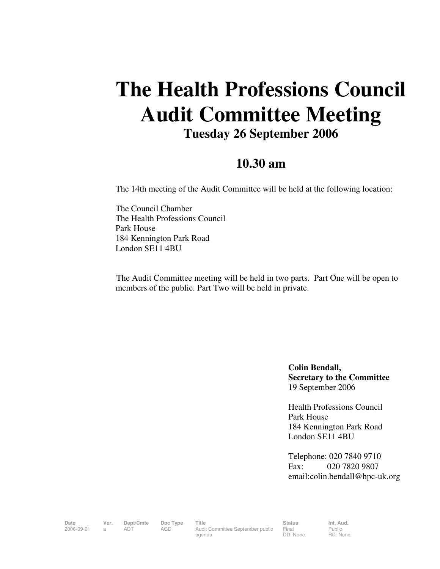## **The Health Professions Council Audit Committee Meeting Tuesday 26 September 2006**

## **10.30 am**

The 14th meeting of the Audit Committee will be held at the following location:

The Council Chamber The Health Professions Council Park House 184 Kennington Park Road London SE11 4BU

 The Audit Committee meeting will be held in two parts. Part One will be open to members of the public. Part Two will be held in private.

> **Colin Bendall, Secretary to the Committee**  19 September 2006

Health Professions Council Park House 184 Kennington Park Road London SE11 4BU

Telephone: 020 7840 9710 Fax: 020 7820 9807 email:colin.bendall@hpc-uk.org

Date Ver. Dept/Cmte Doc<sup>Type</sup> Title **Status** Status Int. Aud. 2006-09-01 a ADT AGD Audit Committee September public agenda

Final DD: None

Public RD: None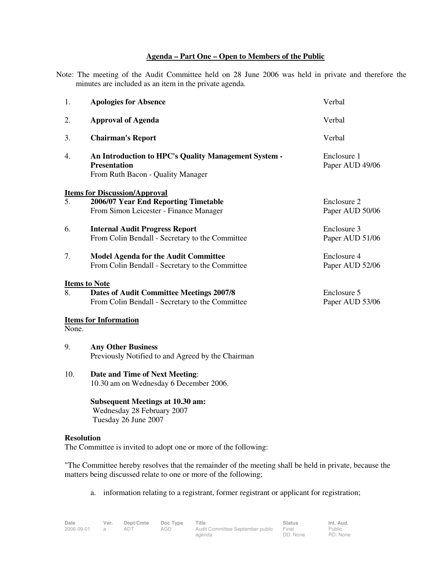## **Agenda – Part One – Open to Members of the Public**

Note: The meeting of the Audit Committee held on 28 June 2006 was held in private and therefore the minutes are included as an item in the private agenda.

| 1.    | <b>Apologies for Absence</b>                                                                                     | Verbal                         |
|-------|------------------------------------------------------------------------------------------------------------------|--------------------------------|
| 2.    | <b>Approval of Agenda</b>                                                                                        | Verbal                         |
| 3.    | <b>Chairman's Report</b>                                                                                         | Verbal                         |
| 4.    | An Introduction to HPC's Quality Management System -<br><b>Presentation</b><br>From Ruth Bacon - Quality Manager | Enclosure 1<br>Paper AUD 49/06 |
|       | <b>Items for Discussion/Approval</b>                                                                             |                                |
| 5.    | 2006/07 Year End Reporting Timetable<br>From Simon Leicester - Finance Manager                                   | Enclosure 2<br>Paper AUD 50/06 |
| 6.    | <b>Internal Audit Progress Report</b><br>From Colin Bendall - Secretary to the Committee                         | Enclosure 3<br>Paper AUD 51/06 |
| 7.    | <b>Model Agenda for the Audit Committee</b><br>From Colin Bendall - Secretary to the Committee                   | Enclosure 4<br>Paper AUD 52/06 |
|       | <b>Items to Note</b>                                                                                             |                                |
| 8.    | <b>Dates of Audit Committee Meetings 2007/8</b><br>From Colin Bendall - Secretary to the Committee               | Enclosure 5<br>Paper AUD 53/06 |
| None. | <b>Items for Information</b>                                                                                     |                                |
| 9.    | <b>Any Other Business</b><br>Previously Notified to and Agreed by the Chairman                                   |                                |
| 10.   | Date and Time of Next Meeting:<br>10.30 am on Wednesday 6 December 2006.                                         |                                |
|       | <b>Subsequent Meetings at 10.30 am:</b>                                                                          |                                |

**Resolution**

The Committee is invited to adopt one or more of the following:

Wednesday 28 February 2007

Tuesday 26 June 2007

"The Committee hereby resolves that the remainder of the meeting shall be held in private, because the matters being discussed relate to one or more of the following;

a. information relating to a registrant, former registrant or applicant for registration;

Public RD: None